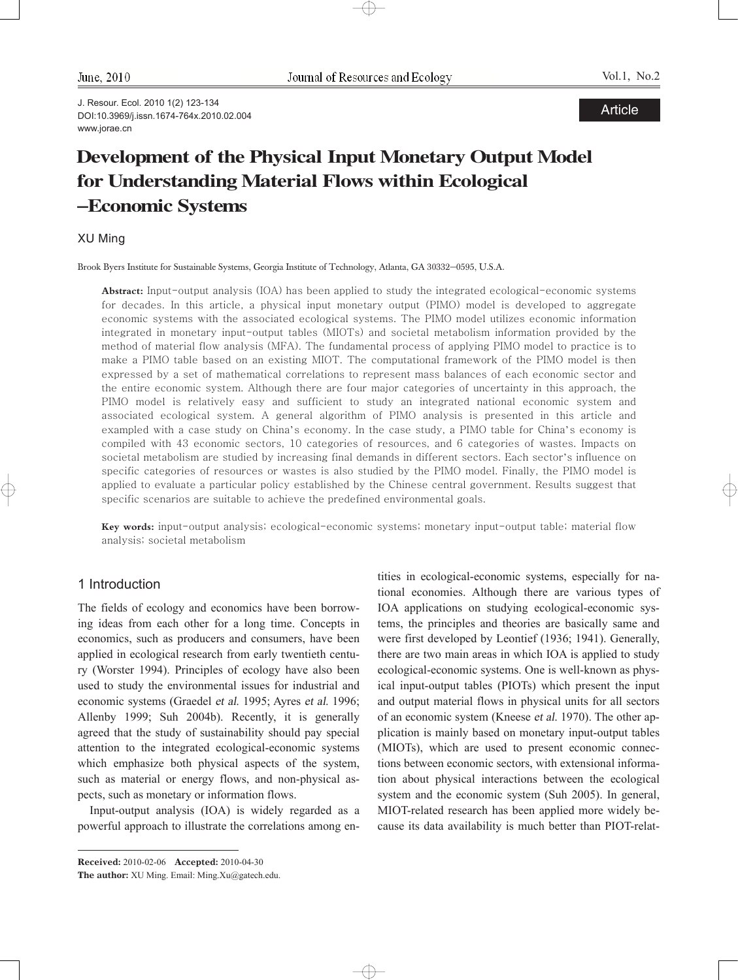June, 2010

Vol.1, No.2

J. Resour. Ecol. 2010 1(2) 123-134 DOI:10.3969/j.issn.1674-764x.2010.02.004 www.jorae.cn

# Development of the Physical Input Monetary Output Model for Understanding Material Flows within Ecological -Economic Systems

## XU Ming

Brook Byers Institute for Sustainable Systems, Georgia Institute of Technology, Atlanta, GA 30332-0595, U.S.A.

**Abstract:** Input-output analysis (IOA) has been applied to study the integrated ecological-economic systems for decades. In this article, a physical input monetary output (PIMO) model is developed to aggregate economic systems with the associated ecological systems. The PIMO model utilizes economic information integrated in monetary input-output tables (MIOTs) and societal metabolism information provided by the method of material flow analysis (MFA). The fundamental process of applying PIMO model to practice is to make a PIMO table based on an existing MIOT. The computational framework of the PIMO model is then expressed by a set of mathematical correlations to represent mass balances of each economic sector and the entire economic system. Although there are four major categories of uncertainty in this approach, the PIMO model is relatively easy and sufficient to study an integrated national economic system and associated ecological system. A general algorithm of PIMO analysis is presented in this article and exampled with a case study on China's economy. In the case study, a PIMO table for China's economy is compiled with 43 economic sectors, 10 categories of resources, and 6 categories of wastes. Impacts on societal metabolism are studied by increasing final demands in different sectors. Each sector's influence on specific categories of resources or wastes is also studied by the PIMO model. Finally, the PIMO model is applied to evaluate a particular policy established by the Chinese central government. Results suggest that specific scenarios are suitable to achieve the predefined environmental goals.

Key words: input-output analysis; ecological-economic systems; monetary input-output table; material flow analysis; societal metabolism

 $\oplus$ 

## 1 Introduction

The fields of ecology and economics have been borrowing ideas from each other for a long time. Concepts in economics, such as producers and consumers, have been applied in ecological research from early twentieth century (Worster 1994). Principles of ecology have also been used to study the environmental issues for industrial and economic systems (Graedel et al. 1995; Ayres et al. 1996; Allenby 1999; Suh 2004b). Recently, it is generally agreed that the study of sustainability should pay special attention to the integrated ecological-economic systems which emphasize both physical aspects of the system, such as material or energy flows, and non-physical aspects, such as monetary or information flows.

Input-output analysis (IOA) is widely regarded as a powerful approach to illustrate the correlations among en-

Received: 2010-02-06 Accepted: 2010-04-30

tities in ecological-economic systems, especially for national economies. Although there are various types of IOA applications on studying ecological-economic systems, the principles and theories are basically same and were first developed by Leontief (1936; 1941). Generally, there are two main areas in which IOA is applied to study ecological-economic systems. One is well-known as physical input-output tables (PIOTs) which present the input and output material flows in physical units for all sectors of an economic system (Kneese et al. 1970). The other application is mainly based on monetary input-output tables (MIOTs), which are used to present economic connections between economic sectors, with extensional information about physical interactions between the ecological system and the economic system (Suh 2005). In general, MIOT-related research has been applied more widely because its data availability is much better than PIOT-relat-

The author: XU Ming. Email: Ming.Xu@gatech.edu.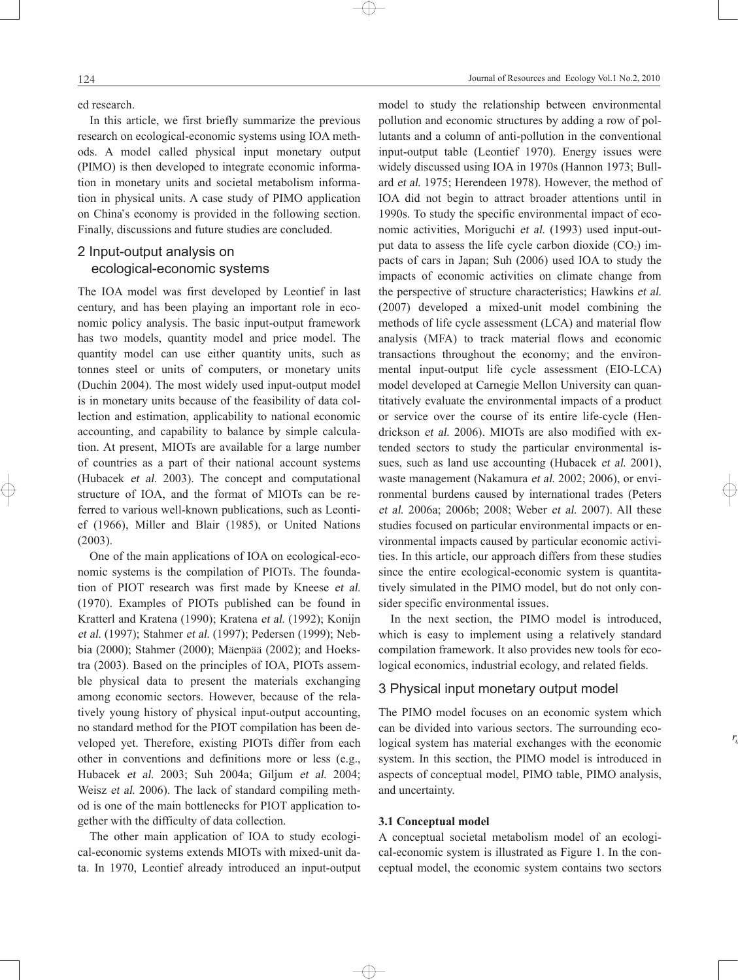124

ed research.

In this article, we first briefly summarize the previous research on ecological-economic systems using IOA methods. A model called physical input monetary output (PIMO) is then developed to integrate economic information in monetary units and societal metabolism information in physical units. A case study of PIMO application on China's economy is provided in the following section. Finally, discussions and future studies are concluded.

## 2 Input-output analysis on ecological-economic systems

The IOA model was first developed by Leontief in last century, and has been playing an important role in economic policy analysis. The basic input-output framework has two models, quantity model and price model. The quantity model can use either quantity units, such as tonnes steel or units of computers, or monetary units (Duchin 2004). The most widely used input-output model is in monetary units because of the feasibility of data collection and estimation, applicability to national economic accounting, and capability to balance by simple calculation. At present, MIOTs are available for a large number of countries as a part of their national account systems (Hubacek et al. 2003). The concept and computational structure of IOA, and the format of MIOTs can be referred to various well-known publications, such as Leontief (1966), Miller and Blair (1985), or United Nations (2003).

One of the main applications of IOA on ecological-economic systems is the compilation of PIOTs. The foundation of PIOT research was first made by Kneese et al. (1970). Examples of PIOTs published can be found in Kratterl and Kratena (1990); Kratena et al. (1992); Konijn et al. (1997); Stahmer et al. (1997); Pedersen (1999); Nebbia (2000); Stahmer (2000); Mäenpää (2002); and Hoekstra (2003). Based on the principles of IOA, PIOTs assemble physical data to present the materials exchanging among economic sectors. However, because of the relatively young history of physical input-output accounting, no standard method for the PIOT compilation has been developed yet. Therefore, existing PIOTs differ from each other in conventions and definitions more or less (e.g., Hubacek et al. 2003; Suh 2004a; Giljum et al. 2004; Weisz et al. 2006). The lack of standard compiling method is one of the main bottlenecks for PIOT application together with the difficulty of data collection.

The other main application of IOA to study ecological-economic systems extends MIOTs with mixed-unit data. In 1970, Leontief already introduced an input-output model to study the relationship between environmental pollution and economic structures by adding a row of pollutants and a column of anti-pollution in the conventional input-output table (Leontief 1970). Energy issues were widely discussed using IOA in 1970s (Hannon 1973; Bullard et al. 1975; Herendeen 1978). However, the method of IOA did not begin to attract broader attentions until in 1990s. To study the specific environmental impact of economic activities, Moriguchi et al. (1993) used input-output data to assess the life cycle carbon dioxide  $(CO<sub>2</sub>)$  impacts of cars in Japan; Suh (2006) used IOA to study the impacts of economic activities on climate change from the perspective of structure characteristics; Hawkins et al. (2007) developed a mixed-unit model combining the methods of life cycle assessment (LCA) and material flow analysis (MFA) to track material flows and economic transactions throughout the economy; and the environmental input-output life cycle assessment (EIO-LCA) model developed at Carnegie Mellon University can quantitatively evaluate the environmental impacts of a product or service over the course of its entire life-cycle (Hendrickson et al. 2006). MIOTs are also modified with extended sectors to study the particular environmental issues, such as land use accounting (Hubacek et al. 2001), waste management (Nakamura et al. 2002; 2006), or environmental burdens caused by international trades (Peters et al. 2006a; 2006b; 2008; Weber et al. 2007). All these studies focused on particular environmental impacts or environmental impacts caused by particular economic activities. In this article, our approach differs from these studies since the entire ecological-economic system is quantitatively simulated in the PIMO model, but do not only consider specific environmental issues.

In the next section, the PIMO model is introduced, which is easy to implement using a relatively standard compilation framework. It also provides new tools for ecological economics, industrial ecology, and related fields.

## 3 Physical input monetary output model

The PIMO model focuses on an economic system which can be divided into various sectors. The surrounding ecological system has material exchanges with the economic system. In this section, the PIMO model is introduced in aspects of conceptual model, PIMO table, PIMO analysis, and uncertainty.

### **3.1 Conceptual model**

 $\oplus$ 

A conceptual societal metabolism model of an ecological-economic system is illustrated as Figure 1. In the conceptual model, the economic system contains two sectors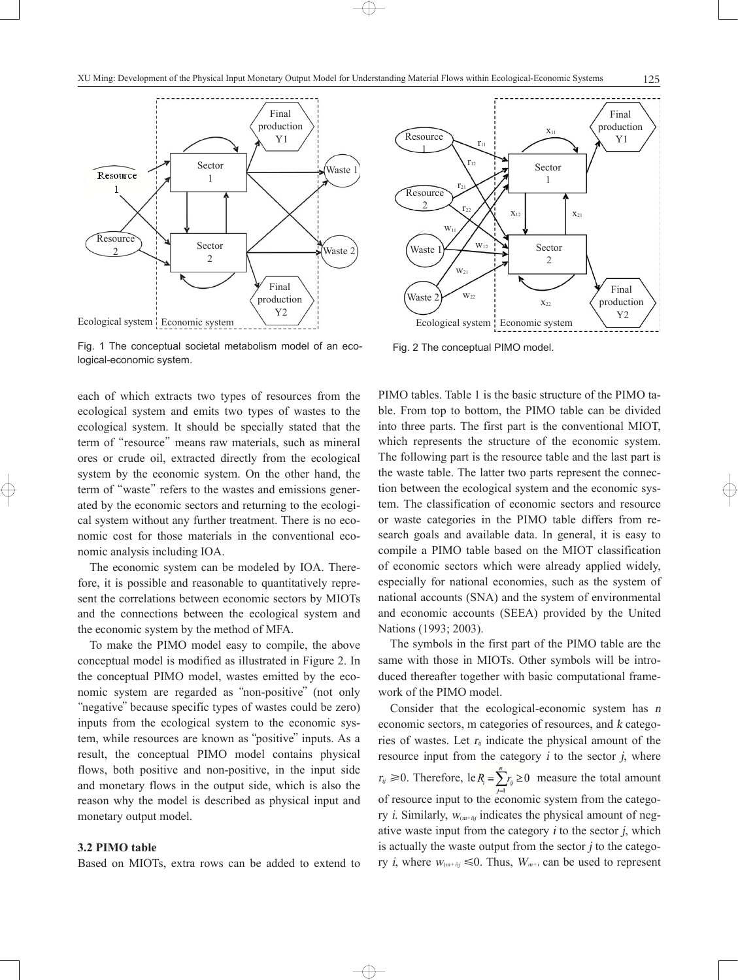

Fig. 1 The conceptual societal metabolism model of an ecological-economic system.

each of which extracts two types of resources from the ecological system and emits two types of wastes to the ecological system. It should be specially stated that the term of "resource" means raw materials, such as mineral ores or crude oil, extracted directly from the ecological system by the economic system. On the other hand, the term of "waste" refers to the wastes and emissions generated by the economic sectors and returning to the ecological system without any further treatment. There is no economic cost for those materials in the conventional economic analysis including IOA.

The economic system can be modeled by IOA. Therefore, it is possible and reasonable to quantitatively represent the correlations between economic sectors by MIOTs and the connections between the ecological system and the economic system by the method of MFA.

To make the PIMO model easy to compile, the above conceptual model is modified as illustrated in Figure 2. In the conceptual PIMO model, wastes emitted by the economic system are regarded as "non-positive" (not only "negative" because specific types of wastes could be zero) inputs from the ecological system to the economic system, while resources are known as "positive" inputs. As a result, the conceptual PIMO model contains physical flows, both positive and non-positive, in the input side and monetary flows in the output side, which is also the reason why the model is described as physical input and monetary output model.

## **3.2 PIMO table**

Based on MIOTs, extra rows can be added to extend to

 $\oplus$ 



Fig. 2 The conceptual PIMO model.

PIMO tables. Table 1 is the basic structure of the PIMO table. From top to bottom, the PIMO table can be divided into three parts. The first part is the conventional MIOT, which represents the structure of the economic system. The following part is the resource table and the last part is the waste table. The latter two parts represent the connection between the ecological system and the economic system. The classification of economic sectors and resource or waste categories in the PIMO table differs from research goals and available data. In general, it is easy to compile a PIMO table based on the MIOT classification of economic sectors which were already applied widely, especially for national economies, such as the system of national accounts (SNA) and the system of environmental and economic accounts (SEEA) provided by the United Nations (1993; 2003).

The symbols in the first part of the PIMO table are the same with those in MIOTs. Other symbols will be introduced thereafter together with basic computational framework of the PIMO model.

Consider that the ecological-economic system has <sup>n</sup> economic sectors, m categories of resources, and <sup>k</sup> categories of wastes. Let  $r_{ij}$  indicate the physical amount of the resource input from the category  $i$  to the sector  $j$ , where  $r_{ij} \ge 0$ . Therefore, le $R_i = \sum_{i=1}^{n} r_{ij} \ge 0$  measure the total amount of resource input to the economic system from the category *i*. Similarly,  $W_{(m+h)j}$  indicates the physical amount of negative waste input from the category  $i$  to the sector  $j$ , which is actually the waste output from the sector  $\dot{j}$  to the category *i*, where  $W_{(m+i)j} \le 0$ . Thus,  $W_{m+i}$  can be used to represent

125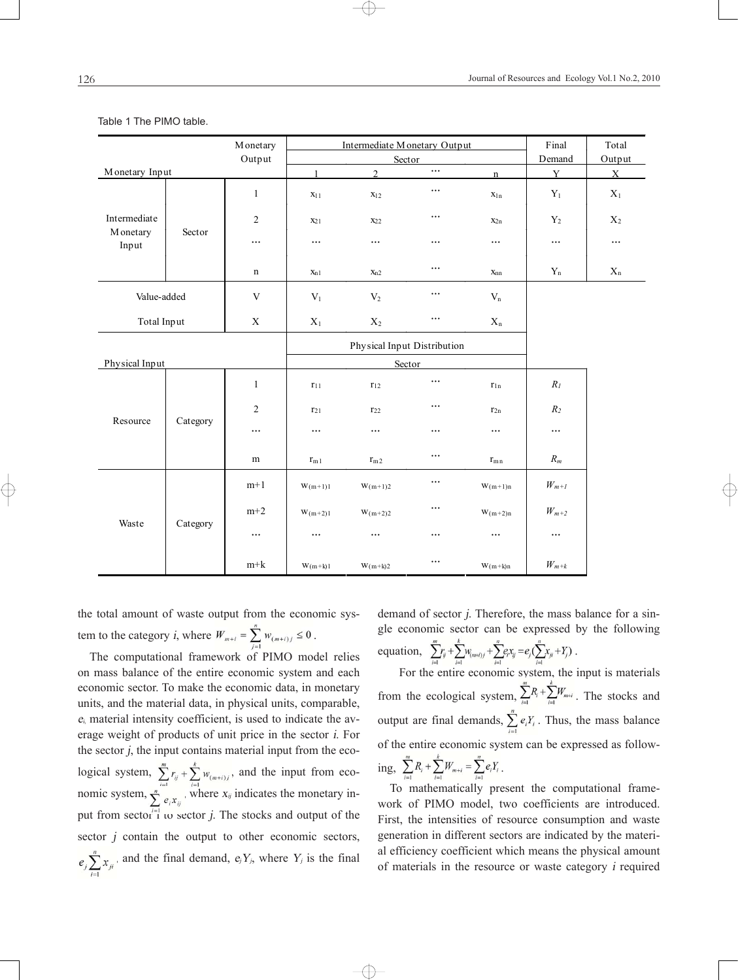#### Table 1 The PIMO table.

| M onetary                 |          |              |                  | Intermediate Monetary Output | Final    | Total                   |                       |                         |
|---------------------------|----------|--------------|------------------|------------------------------|----------|-------------------------|-----------------------|-------------------------|
| Output                    |          |              |                  | Sector                       | Demand   | Output                  |                       |                         |
| Monetary Input            |          |              | $\mathbf{1}$     | $\overline{2}$               | $\cdots$ | $\mathbf{n}$            | Y                     | $\mathbf{X}$            |
|                           |          | $\mathbf{1}$ | X <sub>1</sub> 1 | X <sub>12</sub>              | $\cdots$ | $X_{1n}$                | $\mathbf{Y}_1$        | $\mathbf{X}_1$          |
| Intermediate<br>M onetary | Sector   | $\sqrt{2}$   | X <sub>21</sub>  | $X_{22}$                     | $\cdots$ | $x_{2n}$                | ${\rm Y}_2$           | $X_2$                   |
| Input                     |          | $\cdots$     | $\cdots$         | $\cdots$                     | $\cdots$ | $\cdots$                | $\cdots$              | $\cdots$                |
|                           |          | n            | $X_{n1}$         | $x_{n2}$                     | $\cdots$ | $x_{nn}$                | $\mathbf{Y}_\text{n}$ | $\mathbf{X}_\mathrm{n}$ |
| Value-added               |          | $\mathbf V$  | $\mathbf{V}_1$   | $\rm V_2$                    | $\cdots$ | $\mathbf{V}_n$          |                       |                         |
| Total Input               |          | $\mathbf X$  | $\mathbf{X}_1$   | $\mathbf{X}_2$               | $\cdots$ | $\mathbf{X}_\mathrm{n}$ |                       |                         |
|                           |          |              |                  | Physical Input Distribution  |          |                         |                       |                         |
| Physical Input            |          |              |                  | Sector                       |          |                         |                       |                         |
|                           | Category | $\mathbf{1}$ | $r_{11}$         | $r_{12}$                     | $\cdots$ | $r_{1n}$                | $\mathcal{R}_{I}$     |                         |
| Resource                  |          | 2            | $r_{21}$         | $r_{22}$                     | $\cdots$ | $r_{2n}$                | $R_2$                 |                         |
|                           |          | $\cdots$     |                  | $\cdots$                     | $\cdots$ | $\cdots$                | $\cdots$              |                         |
|                           |          | m            | $r_{m1}$         | r <sub>m2</sub>              | $\cdots$ | $r_{mn}$                | $\mathcal{R}_m$       |                         |
| Waste                     | Category | $m+1$        | $W(m+1)1$        | $W(m+1)2$                    | $\ldots$ | $W(m+1)n$               | $W_{m+1}$             |                         |
|                           |          | $m+2$        | $W(m+2)1$        | $W(m+2)2$                    | $\cdots$ | $W(m+2)n$               | $W_{m+2}$             |                         |
|                           |          | $\cdots$     | $\cdots$         | $\cdots$                     | $\cdots$ | $\cdots$                | $\cdots$              |                         |
|                           |          | $m+k$        | $W(m+k)1$        | $W(m+k)2$                    | $\cdots$ | $W(m+k)n$               | $\mathcal{W}_{m+k}$   |                         |

the total amount of waste output from the economic system to the category *i*, where  $W_{m+i} = \sum_{i=1}^{n} W_{(m+i)j} \leq 0$ .

The computational framework of PIMO model relies on mass balance of the entire economic system and each economic sector. To make the economic data, in monetary units, and the material data, in physical units, comparable,  $e_i$  material intensity coefficient, is used to indicate the average weight of products of unit price in the sector <sup>i</sup>. For the sector j, the input contains material input from the ecological system,  $\sum r_{ii} + \sum w_{i}$  and the input from economic system,  $\sum_{n=1}^{\infty}$  where  $x_{ij}$  indicates the monetary input from sector i to sector j. The stocks and output of the sector  $j$  contain the output to other economic sectors,  $e_j \sum_{i=1}^{n} x_{ji}$ , and the final demand,  $e_j Y_{j}$ , where  $Y_j$  is the final

demand of sector j. Therefore, the mass balance for a single economic sector can be expressed by the following equation,  $\sum_{i} r_i + \sum_{i} w_{i} + \sum_{i} e_i x_{ij} = e_i (\sum_{i} x_i + Y_i)$ .

For the entire economic system, the input is materials from the ecological system,  $\sum_{i=1}^{m} R_i + \sum_{i=1}^{k} W_{m+i}$ . The stocks and output are final demands,  $\sum_{i=1}^{n} e_i Y_i$ . Thus, the mass balance of the entire economic system can be expressed as follow $m$  $\frac{k}{2}$  $\frac{n}{2}$ 

ing, 
$$
\sum_{i=1} P_i + \sum_{i=1} W_{m+i} = \sum_{i=1} e_i Y_i
$$
.

 $\rightarrow$ 

To mathematically present the computational framework of PIMO model, two coefficients are introduced. First, the intensities of resource consumption and waste generation in different sectors are indicated by the material efficiency coefficient which means the physical amount of materials in the resource or waste category <sup>i</sup> required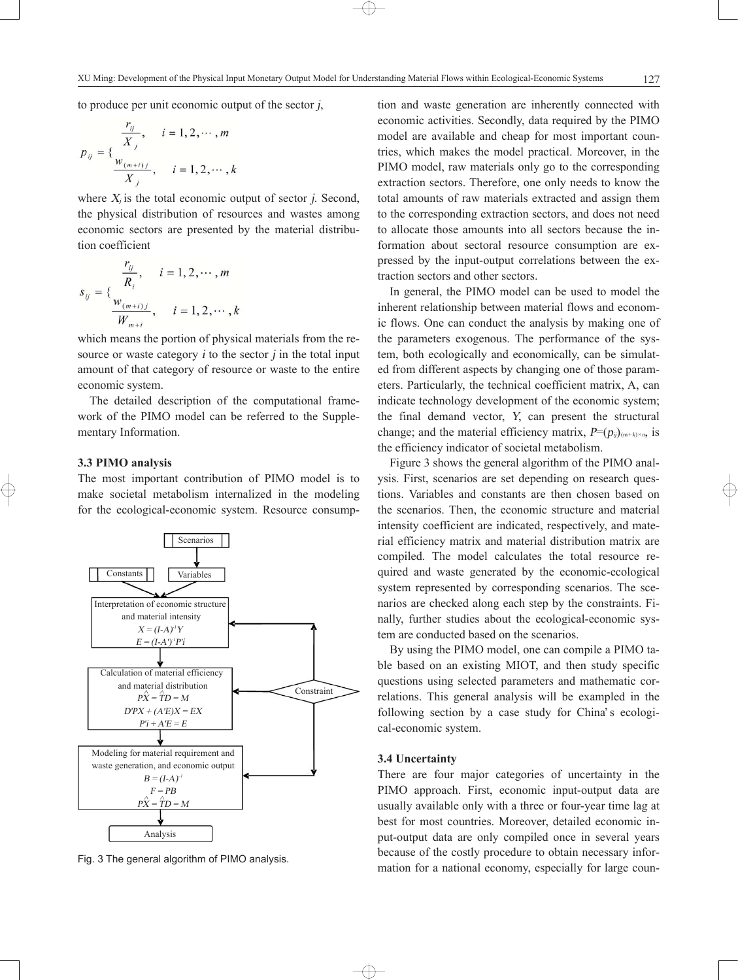to produce per unit economic output of the sector j,

$$
p_{ij} = \{\frac{r_{ij}}{X_j}, \quad i = 1, 2, \cdots, m
$$
  

$$
\frac{w_{(m+i)j}}{X_j}, \quad i = 1, 2, \cdots, k
$$

where  $X_i$  is the total economic output of sector *j*. Second, the physical distribution of resources and wastes among economic sectors are presented by the material distribution coefficient

$$
s_{ij} = \{\frac{\frac{r_{ij}}{R_i}, \quad i = 1, 2, \cdots, m}{\frac{w_{(m+i)j}}{W_{m+i}}}, \quad i = 1, 2, \cdots, k\}
$$

which means the portion of physical materials from the resource or waste category  $i$  to the sector  $j$  in the total input amount of that category of resource or waste to the entire economic system.

The detailed description of the computational framework of the PIMO model can be referred to the Supplementary Information.

### **3.3 PIMO analysis**

The most important contribution of PIMO model is to make societal metabolism internalized in the modeling for the ecological-economic system. Resource consump-



tion and waste generation are inherently connected with economic activities. Secondly, data required by the PIMO model are available and cheap for most important countries, which makes the model practical. Moreover, in the PIMO model, raw materials only go to the corresponding extraction sectors. Therefore, one only needs to know the total amounts of raw materials extracted and assign them to the corresponding extraction sectors, and does not need to allocate those amounts into all sectors because the information about sectoral resource consumption are expressed by the input-output correlations between the extraction sectors and other sectors.

In general, the PIMO model can be used to model the inherent relationship between material flows and economic flows. One can conduct the analysis by making one of the parameters exogenous. The performance of the system, both ecologically and economically, can be simulated from different aspects by changing one of those parameters. Particularly, the technical coefficient matrix, A, can indicate technology development of the economic system; the final demand vector, <sup>Y</sup>, can present the structural change; and the material efficiency matrix,  $P=(p_{ij})_{(m+k)\times n}$ , is the efficiency indicator of societal metabolism.

Figure 3 shows the general algorithm of the PIMO analysis. First, scenarios are set depending on research questions. Variables and constants are then chosen based on the scenarios. Then, the economic structure and material intensity coefficient are indicated, respectively, and material efficiency matrix and material distribution matrix are compiled. The model calculates the total resource required and waste generated by the economic-ecological system represented by corresponding scenarios. The scenarios are checked along each step by the constraints. Finally, further studies about the ecological-economic system are conducted based on the scenarios.

By using the PIMO model, one can compile a PIMO table based on an existing MIOT, and then study specific questions using selected parameters and mathematic correlations. This general analysis will be exampled in the following section by a case study for China's ecological-economic system.

## **3.4 Uncertainty**

 $\oplus$ 

There are four major categories of uncertainty in the PIMO approach. First, economic input-output data are usually available only with a three or four-year time lag at best for most countries. Moreover, detailed economic input-output data are only compiled once in several years because of the costly procedure to obtain necessary infor-Fig. 3 The general algorithm of PIMO analysis.<br>mation for a national economy, especially for large coun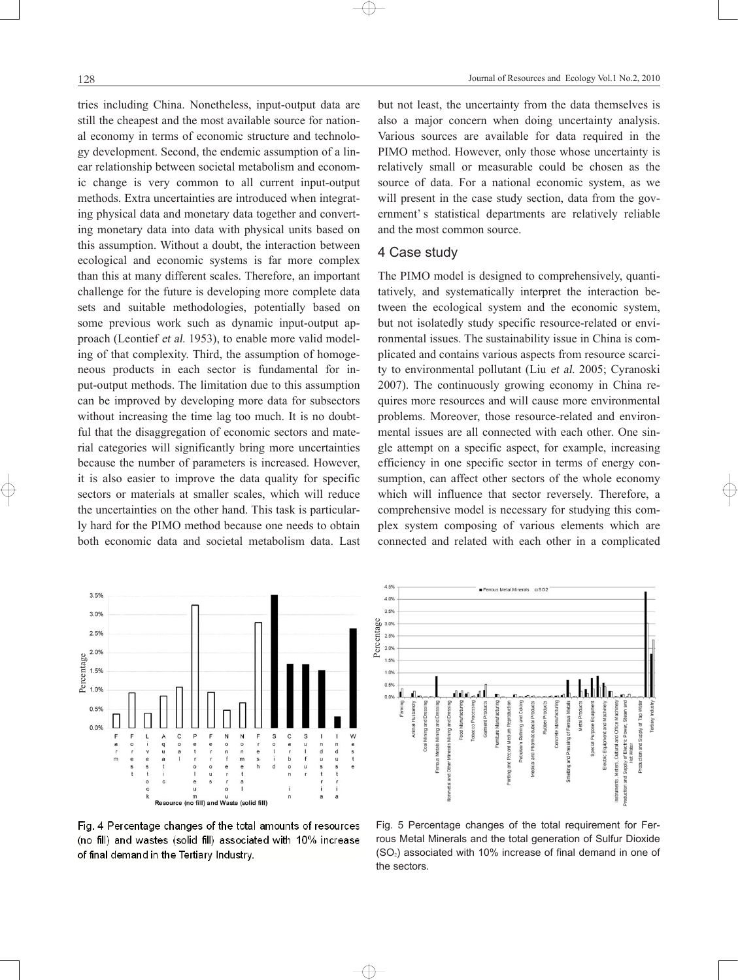tries including China. Nonetheless, input-output data are still the cheapest and the most available source for national economy in terms of economic structure and technology development. Second, the endemic assumption of a linear relationship between societal metabolism and economic change is very common to all current input-output methods. Extra uncertainties are introduced when integrating physical data and monetary data together and converting monetary data into data with physical units based on this assumption. Without a doubt, the interaction between ecological and economic systems is far more complex than this at many different scales. Therefore, an important challenge for the future is developing more complete data sets and suitable methodologies, potentially based on some previous work such as dynamic input-output approach (Leontief et al. 1953), to enable more valid modeling of that complexity. Third, the assumption of homogeneous products in each sector is fundamental for input-output methods. The limitation due to this assumption can be improved by developing more data for subsectors without increasing the time lag too much. It is no doubtful that the disaggregation of economic sectors and material categories will significantly bring more uncertainties because the number of parameters is increased. However, it is also easier to improve the data quality for specific sectors or materials at smaller scales, which will reduce the uncertainties on the other hand. This task is particularly hard for the PIMO method because one needs to obtain both economic data and societal metabolism data. Last but not least, the uncertainty from the data themselves is also a major concern when doing uncertainty analysis. Various sources are available for data required in the PIMO method. However, only those whose uncertainty is relatively small or measurable could be chosen as the source of data. For a national economic system, as we will present in the case study section, data from the government's statistical departments are relatively reliable and the most common source.

## 4 Case study

The PIMO model is designed to comprehensively, quantitatively, and systematically interpret the interaction between the ecological system and the economic system, but not isolatedly study specific resource-related or environmental issues. The sustainability issue in China is complicated and contains various aspects from resource scarcity to environmental pollutant (Liu et al. 2005; Cyranoski 2007). The continuously growing economy in China requires more resources and will cause more environmental problems. Moreover, those resource-related and environmental issues are all connected with each other. One single attempt on a specific aspect, for example, increasing efficiency in one specific sector in terms of energy consumption, can affect other sectors of the whole economy which will influence that sector reversely. Therefore, a comprehensive model is necessary for studying this complex system composing of various elements which are connected and related with each other in a complicated



Fig. 4 Percentage changes of the total amounts of resources (no fill) and wastes (solid fill) associated with 10% increase of final demand in the Tertiary Industry.

 $\oplus$ 



Fig. 5 Percentage changes of the total requirement for Ferrous Metal Minerals and the total generation of Sulfur Dioxide  $(SO<sub>2</sub>)$  associated with 10% increase of final demand in one of the sectors.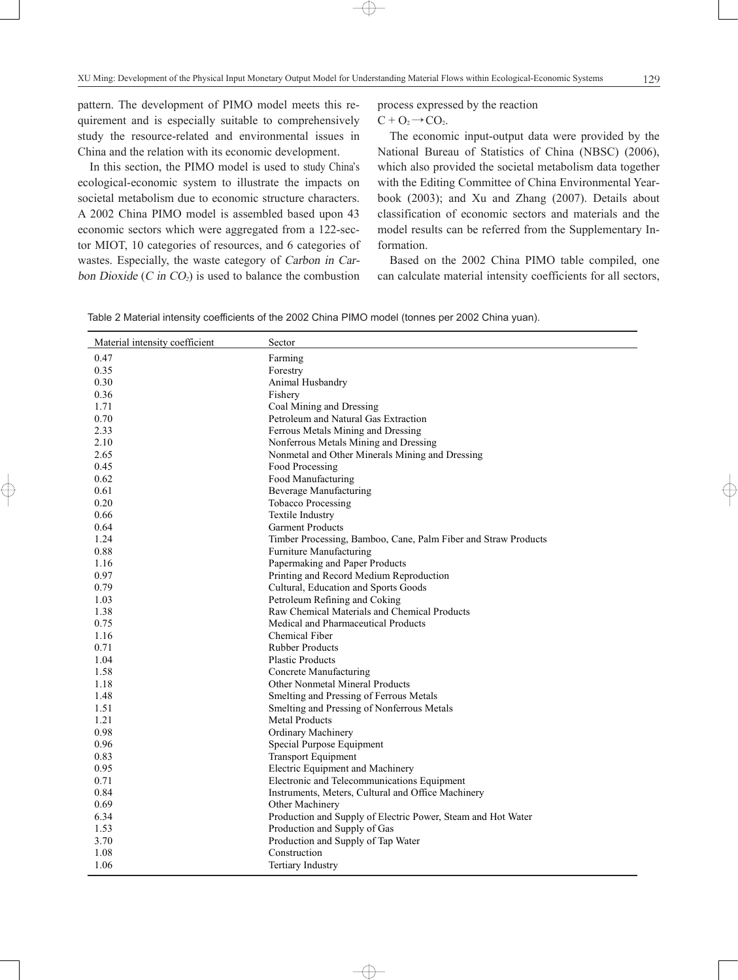pattern. The development of PIMO model meets this requirement and is especially suitable to comprehensively study the resource-related and environmental issues in China and the relation with its economic development.

In this section, the PIMO model is used to study China's ecological-economic system to illustrate the impacts on societal metabolism due to economic structure characters. A 2002 China PIMO model is assembled based upon 43 economic sectors which were aggregated from a 122-sector MIOT, 10 categories of resources, and 6 categories of wastes. Especially, the waste category of Carbon in Carbon Dioxide (C in  $CO<sub>2</sub>$ ) is used to balance the combustion

process expressed by the reaction

## $C + O_2 \rightarrow CO_2$ .

The economic input-output data were provided by the National Bureau of Statistics of China (NBSC) (2006), which also provided the societal metabolism data together with the Editing Committee of China Environmental Yearbook (2003); and Xu and Zhang (2007). Details about classification of economic sectors and materials and the model results can be referred from the Supplementary Information.

Based on the 2002 China PIMO table compiled, one can calculate material intensity coefficients for all sectors,

Table 2 Material intensity coefficients of the 2002 China PIMO model (tonnes per 2002 China yuan).

| Material intensity coefficient | Sector                                                         |
|--------------------------------|----------------------------------------------------------------|
| 0.47                           | Farming                                                        |
| 0.35                           | Forestry                                                       |
| 0.30                           | Animal Husbandry                                               |
| 0.36                           | Fishery                                                        |
| 1.71                           | Coal Mining and Dressing                                       |
| 0.70                           | Petroleum and Natural Gas Extraction                           |
| 2.33                           | Ferrous Metals Mining and Dressing                             |
| 2.10                           | Nonferrous Metals Mining and Dressing                          |
| 2.65                           | Nonmetal and Other Minerals Mining and Dressing                |
| 0.45                           | Food Processing                                                |
| 0.62                           | Food Manufacturing                                             |
| 0.61                           | <b>Beverage Manufacturing</b>                                  |
| 0.20                           | <b>Tobacco Processing</b>                                      |
| 0.66                           | Textile Industry                                               |
| 0.64                           | <b>Garment Products</b>                                        |
| 1.24                           | Timber Processing, Bamboo, Cane, Palm Fiber and Straw Products |
| 0.88                           | Furniture Manufacturing                                        |
| 1.16                           | Papermaking and Paper Products                                 |
| 0.97                           | Printing and Record Medium Reproduction                        |
| 0.79                           | Cultural, Education and Sports Goods                           |
| 1.03                           | Petroleum Refining and Coking                                  |
| 1.38                           | Raw Chemical Materials and Chemical Products                   |
| 0.75                           | Medical and Pharmaceutical Products                            |
| 1.16                           | Chemical Fiber                                                 |
| 0.71                           | <b>Rubber Products</b>                                         |
| 1.04                           | <b>Plastic Products</b>                                        |
| 1.58                           | Concrete Manufacturing                                         |
| 1.18                           | Other Nonmetal Mineral Products                                |
| 1.48                           | Smelting and Pressing of Ferrous Metals                        |
| 1.51                           | Smelting and Pressing of Nonferrous Metals                     |
| 1.21                           | <b>Metal Products</b>                                          |
| 0.98                           | Ordinary Machinery                                             |
| 0.96                           | Special Purpose Equipment                                      |
| 0.83                           | <b>Transport Equipment</b>                                     |
| 0.95                           | Electric Equipment and Machinery                               |
| 0.71                           | Electronic and Telecommunications Equipment                    |
| 0.84                           | Instruments, Meters, Cultural and Office Machinery             |
| 0.69                           | Other Machinery                                                |
| 6.34                           | Production and Supply of Electric Power, Steam and Hot Water   |
| 1.53                           | Production and Supply of Gas                                   |
| 3.70                           | Production and Supply of Tap Water                             |
| 1.08                           | Construction                                                   |
| 1.06                           | <b>Tertiary Industry</b>                                       |

 $\overline{\bigoplus}$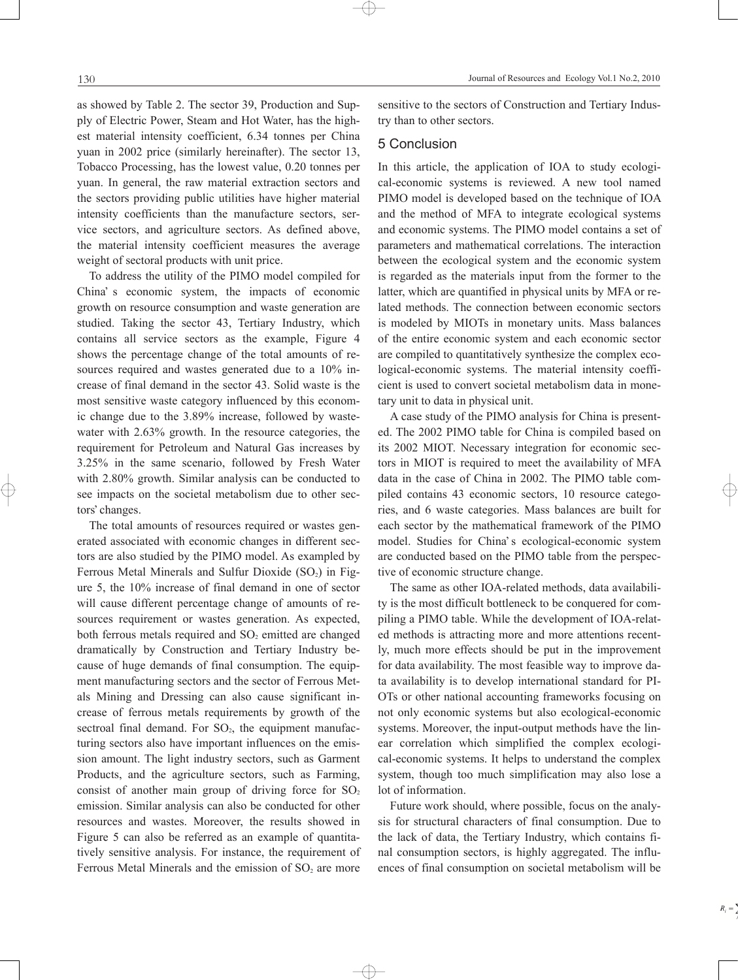as showed by Table 2. The sector 39, Production and Supply of Electric Power, Steam and Hot Water, has the highest material intensity coefficient, 6.34 tonnes per China yuan in 2002 price (similarly hereinafter). The sector 13, Tobacco Processing, has the lowest value, 0.20 tonnes per yuan. In general, the raw material extraction sectors and the sectors providing public utilities have higher material intensity coefficients than the manufacture sectors, service sectors, and agriculture sectors. As defined above, the material intensity coefficient measures the average weight of sectoral products with unit price.

To address the utility of the PIMO model compiled for China's economic system, the impacts of economic growth on resource consumption and waste generation are studied. Taking the sector 43, Tertiary Industry, which contains all service sectors as the example, Figure 4 shows the percentage change of the total amounts of resources required and wastes generated due to a 10% increase of final demand in the sector 43. Solid waste is the most sensitive waste category influenced by this economic change due to the 3.89% increase, followed by wastewater with 2.63% growth. In the resource categories, the requirement for Petroleum and Natural Gas increases by 3.25% in the same scenario, followed by Fresh Water with 2.80% growth. Similar analysis can be conducted to see impacts on the societal metabolism due to other sectors' changes.

The total amounts of resources required or wastes generated associated with economic changes in different sectors are also studied by the PIMO model. As exampled by Ferrous Metal Minerals and Sulfur Dioxide  $(SO<sub>2</sub>)$  in Figure 5, the 10% increase of final demand in one of sector will cause different percentage change of amounts of resources requirement or wastes generation. As expected, both ferrous metals required and  $SO<sub>2</sub>$  emitted are changed dramatically by Construction and Tertiary Industry because of huge demands of final consumption. The equipment manufacturing sectors and the sector of Ferrous Metals Mining and Dressing can also cause significant increase of ferrous metals requirements by growth of the sectroal final demand. For  $SO<sub>2</sub>$ , the equipment manufacturing sectors also have important influences on the emission amount. The light industry sectors, such as Garment Products, and the agriculture sectors, such as Farming, consist of another main group of driving force for  $SO<sub>2</sub>$ emission. Similar analysis can also be conducted for other resources and wastes. Moreover, the results showed in Figure 5 can also be referred as an example of quantitatively sensitive analysis. For instance, the requirement of Ferrous Metal Minerals and the emission of  $SO<sub>2</sub>$  are more sensitive to the sectors of Construction and Tertiary Industry than to other sectors.

## 5 Conclusion

In this article, the application of IOA to study ecological-economic systems is reviewed. A new tool named PIMO model is developed based on the technique of IOA and the method of MFA to integrate ecological systems and economic systems. The PIMO model contains a set of parameters and mathematical correlations. The interaction between the ecological system and the economic system is regarded as the materials input from the former to the latter, which are quantified in physical units by MFA or related methods. The connection between economic sectors is modeled by MIOTs in monetary units. Mass balances of the entire economic system and each economic sector are compiled to quantitatively synthesize the complex ecological-economic systems. The material intensity coefficient is used to convert societal metabolism data in monetary unit to data in physical unit.

A case study of the PIMO analysis for China is presented. The 2002 PIMO table for China is compiled based on its 2002 MIOT. Necessary integration for economic sectors in MIOT is required to meet the availability of MFA data in the case of China in 2002. The PIMO table compiled contains 43 economic sectors, 10 resource categories, and 6 waste categories. Mass balances are built for each sector by the mathematical framework of the PIMO model. Studies for China's ecological-economic system are conducted based on the PIMO table from the perspective of economic structure change.

The same as other IOA-related methods, data availability is the most difficult bottleneck to be conquered for compiling a PIMO table. While the development of IOA-related methods is attracting more and more attentions recently, much more effects should be put in the improvement for data availability. The most feasible way to improve data availability is to develop international standard for PI-OTs or other national accounting frameworks focusing on not only economic systems but also ecological-economic systems. Moreover, the input-output methods have the linear correlation which simplified the complex ecological-economic systems. It helps to understand the complex system, though too much simplification may also lose a lot of information.

Future work should, where possible, focus on the analysis for structural characters of final consumption. Due to the lack of data, the Tertiary Industry, which contains final consumption sectors, is highly aggregated. The influences of final consumption on societal metabolism will be

 $\oplus$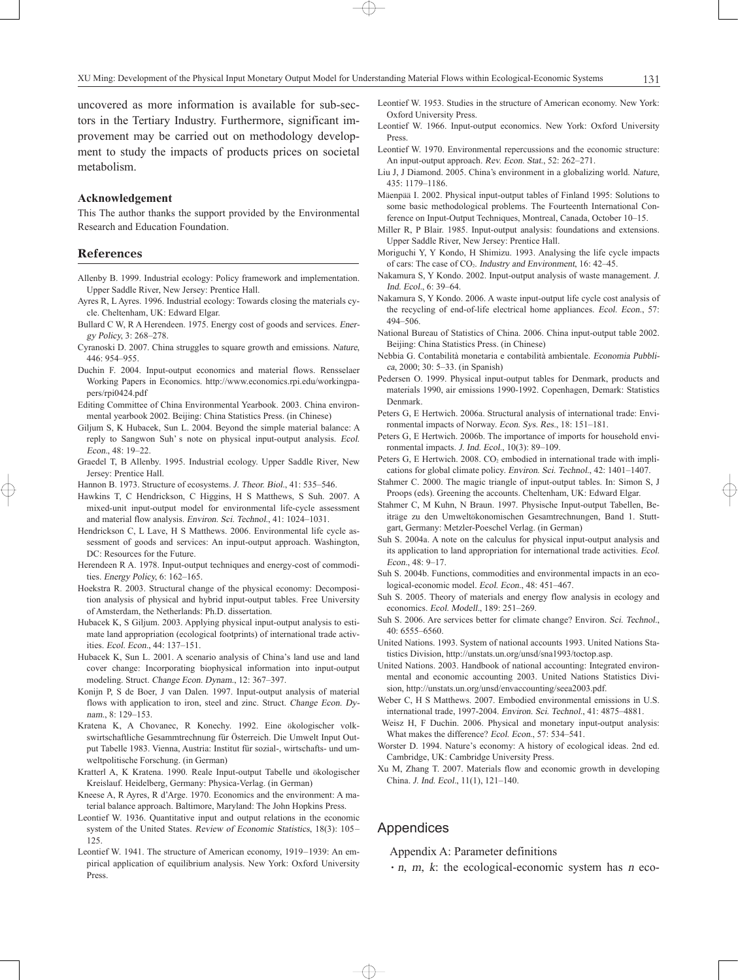uncovered as more information is available for sub-sectors in the Tertiary Industry. Furthermore, significant improvement may be carried out on methodology development to study the impacts of products prices on societal metabolism.

#### **Acknowledgement**

This The author thanks the support provided by the Environmental Research and Education Foundation.

#### References

- Allenby B. 1999. Industrial ecology: Policy framework and implementation. Upper Saddle River, New Jersey: Prentice Hall.
- Ayres R, L Ayres. 1996. Industrial ecology: Towards closing the materials cycle. Cheltenham, UK: Edward Elgar.
- Bullard C W, R A Herendeen. 1975. Energy cost of goods and services. Energy Policy, 3: 268-278.
- Cyranoski D. 2007. China struggles to square growth and emissions. Nature, 446: 954-955
- Duchin F. 2004. Input-output economics and material flows. Rensselaer Working Papers in Economics. http://www.economics.rpi.edu/workingpapers/rpi0424.pdf
- Editing Committee of China Environmental Yearbook. 2003. China environmental yearbook 2002. Beijing: China Statistics Press. (in Chinese)
- Giljum S, K Hubacek, Sun L. 2004. Beyond the simple material balance: A reply to Sangwon Suh's note on physical input-output analysis. Ecol. Econ., 48: 19-22.
- Graedel T, B Allenby. 1995. Industrial ecology. Upper Saddle River, New Jersey: Prentice Hall.
- Hannon B. 1973. Structure of ecosystems. J. Theor. Biol., 41: 535-546.
- Hawkins T, C Hendrickson, C Higgins, H S Matthews, S Suh. 2007. A mixed-unit input-output model for environmental life-cycle assessment and material flow analysis. Environ. Sci. Technol., 41: 1024-1031.
- Hendrickson C, L Lave, H S Matthews. 2006. Environmental life cycle assessment of goods and services: An input-output approach. Washington, DC: Resources for the Future.
- Herendeen R A. 1978. Input-output techniques and energy-cost of commodities. Energy Policy, 6: 162-165.
- Hoekstra R. 2003. Structural change of the physical economy: Decomposition analysis of physical and hybrid input-output tables. Free University of Amsterdam, the Netherlands: Ph.D. dissertation.
- Hubacek K, S Giljum. 2003. Applying physical input-output analysis to estimate land appropriation (ecological footprints) of international trade activities. Ecol. Econ., 44: 137-151.
- Hubacek K, Sun L, 2001. A scenario analysis of China's land use and land cover change: Incorporating biophysical information into input-output modeling. Struct. Change Econ. Dynam., 12: 367-397.
- Konijn P, S de Boer, J van Dalen. 1997. Input-output analysis of material flows with application to iron, steel and zinc. Struct. Change Econ. Dynam., 8: 129-153.
- Kratena K, A Chovanec, R Konechy. 1992. Eine ökologischer volkswirtschaftliche Gesammtrechnung für Österreich. Die Umwelt Input Output Tabelle 1983. Vienna, Austria: Institut für sozial-, wirtschafts- und umweltpolitische Forschung. (in German)
- Kratterl A, K Kratena. 1990. Reale Input-output Tabelle und ökologischer Kreislauf. Heidelberg, Germany: Physica-Verlag. (in German)
- Kneese A, R Ayres, R d'Arge. 1970. Economics and the environment: A material balance approach. Baltimore, Maryland: The John Hopkins Press.
- Leontief W. 1936. Quantitative input and output relations in the economic system of the United States. Review of Economic Statistics, 18(3): 105-125.
- Leontief W. 1941. The structure of American economy, 1919-1939: An empirical application of equilibrium analysis. New York: Oxford University Press.
- Leontief W. 1953. Studies in the structure of American economy. New York: Oxford University Press.
- Leontief W. 1966. Input-output economics. New York: Oxford University Press.
- Leontief W. 1970. Environmental repercussions and the economic structure: An input-output approach. Rev. Econ. Stat., 52: 262-271.
- Liu J, J Diamond. 2005. China's environment in a globalizing world. Nature, 435: 1179±1186.
- Mäenpää I. 2002. Physical input-output tables of Finland 1995: Solutions to some basic methodological problems. The Fourteenth International Conference on Input-Output Techniques, Montreal, Canada, October 10-15.
- Miller R, P Blair. 1985. Input-output analysis: foundations and extensions. Upper Saddle River, New Jersey: Prentice Hall.
- Moriguchi Y, Y Kondo, H Shimizu. 1993. Analysing the life cycle impacts of cars: The case of  $CO<sub>2</sub>$ . Industry and Environment, 16: 42–45.
- Nakamura S, Y Kondo. 2002. Input-output analysis of waste management. J.  $Ind. Ecol.$  6: 39 $-64.$
- Nakamura S, Y Kondo. 2006. A waste input-output life cycle cost analysis of the recycling of end-of-life electrical home appliances. Ecol. Econ., 57: 494-506.
- National Bureau of Statistics of China. 2006. China input-output table 2002. Beijing: China Statistics Press. (in Chinese)
- Nebbia G. Contabilità monetaria e contabilità ambientale. Economia Pubblica, 2000; 30: 5-33. (in Spanish)
- Pedersen O. 1999. Physical input-output tables for Denmark, products and materials 1990, air emissions 1990-1992. Copenhagen, Demark: Statistics Denmark.
- Peters G, E Hertwich. 2006a. Structural analysis of international trade: Environmental impacts of Norway. Econ. Sys. Res., 18: 151-181.
- Peters G, E Hertwich. 2006b. The importance of imports for household environmental impacts. J. Ind. Ecol.,  $10(3)$ : 89-109.
- Peters G, E Hertwich. 2008. CO<sub>2</sub> embodied in international trade with implications for global climate policy. Environ. Sci. Technol., 42: 1401-1407
- Stahmer C. 2000. The magic triangle of input-output tables. In: Simon S, J Proops (eds). Greening the accounts. Cheltenham, UK: Edward Elgar.
- Stahmer C, M Kuhn, N Braun. 1997. Physische Input-output Tabellen, Beiträge zu den Umweltökonomischen Gesamtrechnungen, Band 1. Stuttgart, Germany: Metzler-Poeschel Verlag. (in German)
- Suh S. 2004a. A note on the calculus for physical input-output analysis and its application to land appropriation for international trade activities. Ecol. Econ.,  $48: 9-17$ .
- Suh S. 2004b. Functions, commodities and environmental impacts in an ecological-economic model. Ecol. Econ., 48: 451-467.
- Suh S. 2005. Theory of materials and energy flow analysis in ecology and economics. Ecol. Modell., 189: 251-269.
- Suh S. 2006. Are services better for climate change? Environ. Sci. Technol., 40: 6555±6560.
- United Nations. 1993. System of national accounts 1993. United Nations Statistics Division, http://unstats.un.org/unsd/sna1993/toctop.asp.
- United Nations. 2003. Handbook of national accounting: Integrated environmental and economic accounting 2003. United Nations Statistics Division, http://unstats.un.org/unsd/envaccounting/seea2003.pdf.
- Weber C, H S Matthews. 2007. Embodied environmental emissions in U.S. international trade, 1997-2004. Environ. Sci. Technol., 41: 4875-4881.
- Weisz H, F Duchin. 2006. Physical and monetary input-output analysis: What makes the difference? Ecol. Econ., 57: 534-541.
- Worster D. 1994. Nature's economy: A history of ecological ideas. 2nd ed. Cambridge, UK: Cambridge University Press.
- Xu M, Zhang T. 2007. Materials flow and economic growth in developing China. J. Ind. Ecol., 11(1), 121-140.

## Appendices

 $\oplus$ 

Appendix A: Parameter definitions

 $\cdot$  n, m, k: the ecological-economic system has n eco-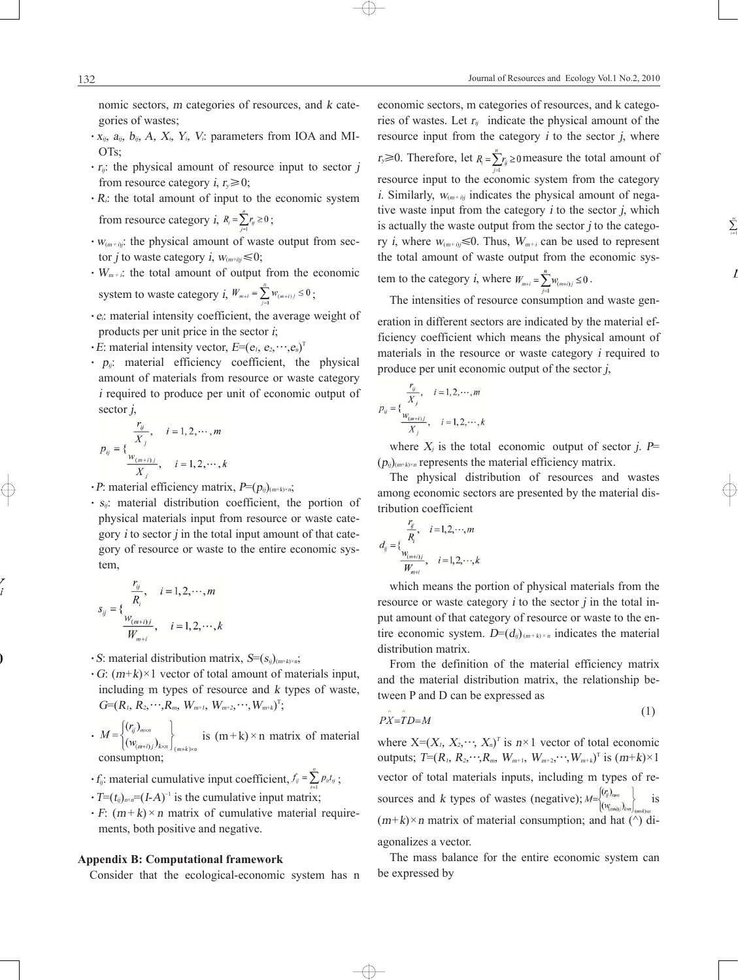nomic sectors, <sup>m</sup> categories of resources, and <sup>k</sup> categories of wastes;

- $\cdot$  x<sub>ij</sub>,  $a_{ij}$ ,  $b_{ij}$ ,  $A$ ,  $X_i$ ,  $Y_i$ ,  $V_i$ : parameters from IOA and MI-OTs;
- $\cdot$  r<sub>ij</sub>: the physical amount of resource input to sector j from resource category *i*,  $r_v \ge 0$ ;
- $\cdot$  R<sub>i</sub>: the total amount of input to the economic system from resource category *i*,  $R_i = \sum_{i=1}^{n} r_{ij} \ge 0$ ;
- $\cdot$   $W_{(m+i)j}$ : the physical amount of waste output from sector *j* to waste category *i*,  $W_{(m+i)j} \le 0$ ;
- $\cdot$  W<sub>m+i</sub>: the total amount of output from the economic system to waste category  $i, W_{m+i} = \sum_{i=1}^{n} w_{(m+i)j} \le 0$ ;
- $\cdot$  e<sub>i</sub>: material intensity coefficient, the average weight of products per unit price in the sector <sup>i</sup>;
- $\cdot E$ : material intensity vector,  $E=(e_1, e_2, \dots, e_n)^T$
- $\cdot$   $p_{ii}$ : material efficiency coefficient, the physical amount of materials from resource or waste category <sup>i</sup> required to produce per unit of economic output of sector  $i$ ,

$$
p_{ij} = \{\frac{\frac{r_{ij}}{X_j}, \quad i = 1, 2, \cdots, m}{\frac{w_{(m+i)j}}{X_j}, \quad i = 1, 2, \cdots, k}\}
$$

- $\cdot$  P: material efficiency matrix,  $P=(p_{ij})_{(m+k)\times n}$ ;
- $\cdot$   $s_{ii}$ : material distribution coefficient, the portion of physical materials input from resource or waste category  $i$  to sector  $j$  in the total input amount of that category of resource or waste to the entire economic system,

$$
s_{ij} = \{\frac{\frac{r_{ij}}{R_i}, \quad i = 1, 2, \cdots, m}{\frac{w_{(m+i)j}}{W_{m+i}}}, \quad i = 1, 2, \cdots, k\}
$$

- $\cdot$  S: material distribution matrix,  $S=(s_{ij})_{(m+k)\times n}$ ;
- $\cdot$  G:  $(m+k) \times 1$  vector of total amount of materials input, including m types of resource and <sup>k</sup> types of waste,  $G=(R_1, R_2, \cdots, R_m, W_{m+1}, W_{m+2}, \cdots, W_{m+k})^T;$
- $k \cdot M = \begin{cases} (r_{ij})_{m \times n} \\ (w_{(m+i)j})_{k \times n} \end{cases}$  is  $(m+k) \times n$  matrix of material consumption;
- $\cdot f_{ij}$ : material cumulative input coefficient,  $f_{ij} = \sum_{i=1}^{n} p_{ij} t_{ij}$ ;
- $\cdot T=(t_{ij})_{n\times n}=(I-A)^{-1}$  is the cumulative input matrix;
- $\cdot$  F:  $(m + k) \times n$  matrix of cumulative material requirements, both positive and negative.

## **Appendix B: Computational framework**

Consider that the ecological-economic system has n

economic sectors, m categories of resources, and k categories of wastes. Let  $r_{ii}$  indicate the physical amount of the resource input from the category  $i$  to the sector  $j$ , where  $r_y \ge 0$ . Therefore, let  $R_i = \sum_{i=1}^{n} r_{ij} \ge 0$  measure the total amount of resource input to the economic system from the category i. Similarly,  $W_{(m+h)}$  indicates the physical amount of negative waste input from the category  $i$  to the sector  $j$ , which is actually the waste output from the sector  $j$  to the category *i*, where  $w_{(m+i)j} \le 0$ . Thus,  $W_{m+i}$  can be used to represent the total amount of waste output from the economic sys-

tem to the category i, where  $W_{m+i} = \sum_{m} w_{(m+i)i} \leq 0$ .

The intensities of resource consumption and waste gen-

eration in different sectors are indicated by the material efficiency coefficient which means the physical amount of materials in the resource or waste category <sup>i</sup> required to produce per unit economic output of the sector  $j$ ,

$$
p_{ij} = \{\frac{r_{ij}}{X_j}, \quad i = 1, 2, \cdots, m
$$

$$
\frac{w_{(m+i)j}}{X_j}, \quad i = 1, 2, \cdots, k
$$

where  $X_i$  is the total economic output of sector j. P=  $(p_{ij})_{(m+k)\times n}$  represents the material efficiency matrix.

The physical distribution of resources and wastes among economic sectors are presented by the material distribution coefficient

$$
d_{ij} = \{\frac{\frac{r_{ij}}{R_i}, \quad i = 1, 2, \cdots, m}{\frac{W_{(m+i)j}}{W_{m+i}}}, \quad i = 1, 2, \cdots, k\}
$$

 $\oplus$ 

which means the portion of physical materials from the resource or waste category  $i$  to the sector  $j$  in the total input amount of that category of resource or waste to the entire economic system.  $D=(d_{ij})_{(m+k)\times n}$  indicates the material distribution matrix.

From the definition of the material efficiency matrix and the material distribution matrix, the relationship between P and D can be expressed as

$$
P\hat{X} = \hat{T}D = M \tag{1}
$$

 $(1)$ 

where  $X=(X_1, X_2, \dots, X_n)^T$  is  $n \times 1$  vector of total economic outputs;  $T=(R_1, R_2, \dots, R_m, W_{m+1}, W_{m+2}, \dots, W_{m+k})^T$  is  $(m+k) \times 1$ vector of total materials inputs, including m types of resources and k types of wastes (negative);  $M = \begin{bmatrix} (v_{ij})_{mn} \\ (w_{ij})_{km} \end{bmatrix}_{(mk)\neq m}$  is  $(m+k) \times n$  matrix of material consumption; and hat  $(\wedge)$  diagonalizes a vector.

The mass balance for the entire economic system can be expressed by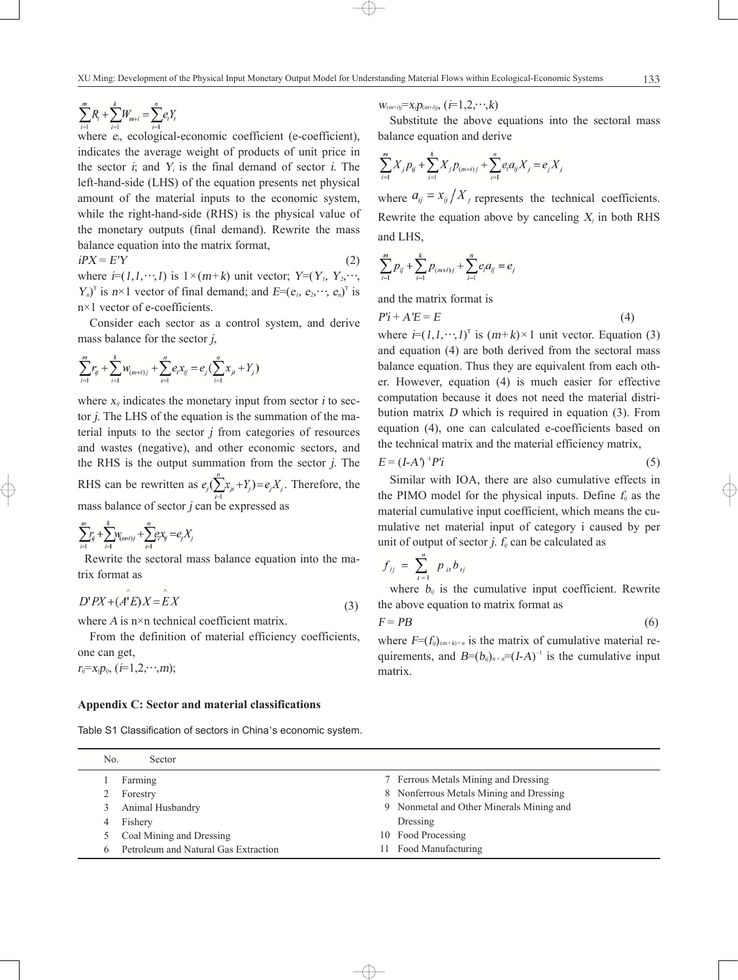$$
\sum_{i=1}^{m} R_i + \sum_{i=1}^{k} W_{m+i} = \sum_{i=1}^{n} e_i Y_i
$$

where  $e_i$ , ecological-economic coefficient (e-coefficient), indicates the average weight of products of unit price in the sector  $i$ ; and  $Y_i$  is the final demand of sector  $i$ . The left-hand-side (LHS) of the equation presents net physical amount of the material inputs to the economic system, while the right-hand-side (RHS) is the physical value of the monetary outputs (final demand). Rewrite the mass balance equation into the matrix format,

 $iPX = E'Y$  (2) where  $i=(1,1,\dots,1)$  is  $1\times (m+k)$  unit vector;  $Y=(Y_1, Y_2, \dots, Y_k)$  $Y_n$ <sup>T</sup> is  $n \times 1$  vector of final demand; and  $E=(e_1, e_2, \dots, e_n)$ <sup>T</sup> is n×1 vector of e-coefficients.

Consider each sector as a control system, and derive mass balance for the sector j,

$$
\sum_{i=1}^{m} r_{ij} + \sum_{i=1}^{k} w_{(m+i)j} + \sum_{i=1}^{n} e_i x_{ij} = e_j \left( \sum_{i=1}^{n} x_{ji} + Y_j \right)
$$

where  $x_{ij}$  indicates the monetary input from sector *i* to sector j. The LHS of the equation is the summation of the material inputs to the sector  $j$  from categories of resources and wastes (negative), and other economic sectors, and the RHS is the output summation from the sector  $j$ . The RHS can be rewritten as  $e_j(\sum_{i=1}^{n} x_{ij} + Y_j) = e_j X_j$ . Therefore, the mass balance of sector  $j$  can be expressed as

$$
\sum_{i=1}^{m} r_{ij} + \sum_{i=1}^{k} w_{(m+i)j} + \sum_{i=1}^{n} e_i x_{ij} = e_j X_j
$$

 $\lambda$ 

Rewrite the sectoral mass balance equation into the matrix format as

$$
D'PX + (A'E)X = EX \tag{3}
$$

where A is n×n technical coefficient matrix.

From the definition of material efficiency coefficients, one can get,  $r_i = x_i p_{ij}, (i=1,2,\dots,m);$ 

#### **Appendix C: Sector and material classifications**

Table S1 Classification of sectors in China's economic system.

 $W_{(m+i)}=X_i p_{(m+i)i}, (i=1,2,\dots,k)$ 

Substitute the above equations into the sectoral mass balance equation and derive

$$
\sum_{i=1}^{m} X_j p_{ij} + \sum_{i=1}^{k} X_j p_{(m+i)j} + \sum_{i=1}^{n} e_i a_{ij} X_j = e_j X
$$

where  $a_{ij} = x_{ij}/X_j$  represents the technical coefficients. Rewrite the equation above by canceling  $X_i$  in both RHS and LHS,

$$
\sum_{i=1}^{m} p_{ij} + \sum_{i=1}^{k} p_{(m+i)j} + \sum_{i=1}^{n} e_i a_{ij} = e_j
$$

and the matrix format is

$$
P'i + A'E = E \tag{4}
$$

where  $i=(1,1,\dots,1)^T$  is  $(m+k)\times 1$  unit vector. Equation (3) and equation (4) are both derived from the sectoral mass balance equation. Thus they are equivalent from each other. However, equation (4) is much easier for effective computation because it does not need the material distribution matrix <sup>D</sup> which is required in equation (3). From equation (4), one can calculated e-coefficients based on the technical matrix and the material efficiency matrix,

$$
E = (I - A')^{-1} P'i \tag{5}
$$

Similar with IOA, there are also cumulative effects in the PIMO model for the physical inputs. Define  $f_{ii}$  as the material cumulative input coefficient, which means the cumulative net material input of category i caused by per unit of output of sector *j.*  $f_{ii}$  can be calculated as

$$
f_{ij} = \sum_{i=1}^{n} p_{ii} b_{ij}
$$

where  $b_{ij}$  is the cumulative input coefficient. Rewrite the above equation to matrix format as

$$
F = PB \tag{6}
$$

where  $F=(f_{ij})_{(m+k)\times n}$  is the matrix of cumulative material requirements, and  $B=(b_{ij})_{n \times n}=(I-A)^{-1}$  is the cumulative input matrix.

| No. | Sector                               |                                          |
|-----|--------------------------------------|------------------------------------------|
|     | Farming                              | 7 Ferrous Metals Mining and Dressing     |
|     | Forestry                             | 8 Nonferrous Metals Mining and Dressing  |
|     | Animal Husbandry                     | 9 Nonmetal and Other Minerals Mining and |
|     | Fishery                              | Dressing                                 |
|     | Coal Mining and Dressing             | 10 Food Processing                       |
|     | Petroleum and Natural Gas Extraction | 11 Food Manufacturing                    |

 $\oplus$